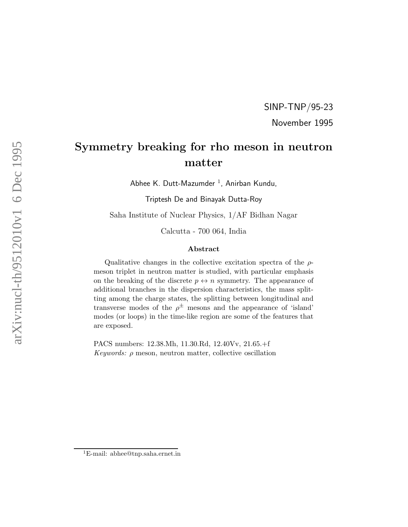## SINP-TNP/95-23

### November 1995

# Symmetry breaking for rho meson in neutron matter

Abhee K. Dutt-Mazumder <sup>1</sup>, Anirban Kundu,

Triptesh De and Binayak Dutta-Roy

Saha Institute of Nuclear Physics, 1/AF Bidhan Nagar

Calcutta - 700 064, India

#### Abstract

Qualitative changes in the collective excitation spectra of the  $\rho$ meson triplet in neutron matter is studied, with particular emphasis on the breaking of the discrete  $p \leftrightarrow n$  symmetry. The appearance of additional branches in the dispersion characteristics, the mass splitting among the charge states, the splitting between longitudinal and transverse modes of the  $\rho^{\pm}$  mesons and the appearance of 'island' modes (or loops) in the time-like region are some of the features that are exposed.

PACS numbers: 12.38.Mh, 11.30.Rd, 12.40Vv, 21.65.+f Keywords:  $\rho$  meson, neutron matter, collective oscillation

<sup>1</sup>E-mail: abhee@tnp.saha.ernet.in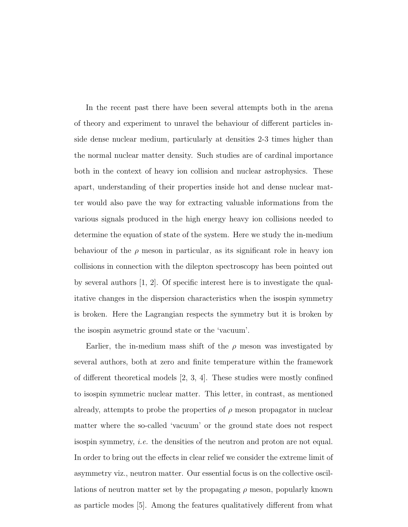In the recent past there have been several attempts both in the arena of theory and experiment to unravel the behaviour of different particles inside dense nuclear medium, particularly at densities 2-3 times higher than the normal nuclear matter density. Such studies are of cardinal importance both in the context of heavy ion collision and nuclear astrophysics. These apart, understanding of their properties inside hot and dense nuclear matter would also pave the way for extracting valuable informations from the various signals produced in the high energy heavy ion collisions needed to determine the equation of state of the system. Here we study the in-medium behaviour of the  $\rho$  meson in particular, as its significant role in heavy ion collisions in connection with the dilepton spectroscopy has been pointed out by several authors  $[1, 2]$ . Of specific interest here is to investigate the qualitative changes in the dispersion characteristics when the isospin symmetry is broken. Here the Lagrangian respects the symmetry but it is broken by the isospin asymetric ground state or the 'vacuum'.

Earlier, the in-medium mass shift of the  $\rho$  meson was investigated by several authors, both at zero and finite temperature within the framework of different theoretical models [2, 3, 4]. These studies were mostly confined to isospin symmetric nuclear matter. This letter, in contrast, as mentioned already, attempts to probe the properties of  $\rho$  meson propagator in nuclear matter where the so-called 'vacuum' or the ground state does not respect isospin symmetry, i.e. the densities of the neutron and proton are not equal. In order to bring out the effects in clear relief we consider the extreme limit of asymmetry viz., neutron matter. Our essential focus is on the collective oscillations of neutron matter set by the propagating  $\rho$  meson, popularly known as particle modes [5]. Among the features qualitatively different from what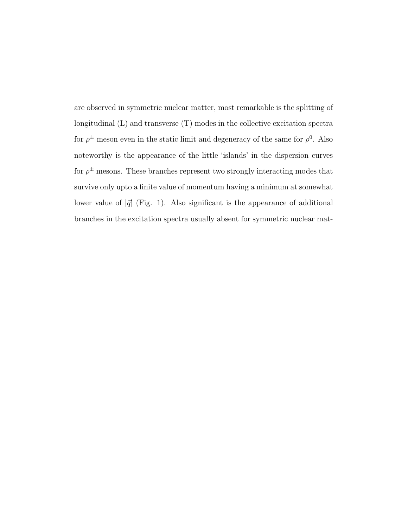are observed in symmetric nuclear matter, most remarkable is the splitting of longitudinal (L) and transverse (T) modes in the collective excitation spectra for  $\rho^{\pm}$  meson even in the static limit and degeneracy of the same for  $\rho^0$ . Also noteworthy is the appearance of the little 'islands' in the dispersion curves for  $\rho^{\pm}$  mesons. These branches represent two strongly interacting modes that survive only upto a finite value of momentum having a minimum at somewhat lower value of  $|\vec{q}|$  (Fig. 1). Also significant is the appearance of additional branches in the excitation spectra usually absent for symmetric nuclear mat-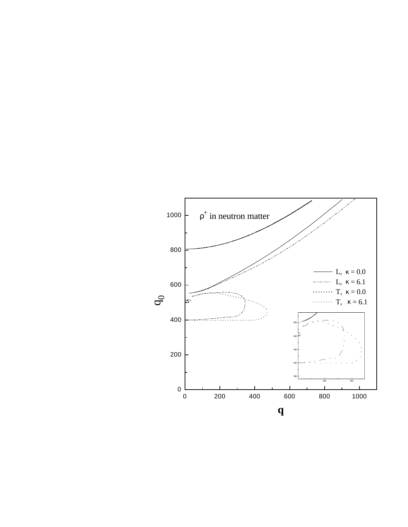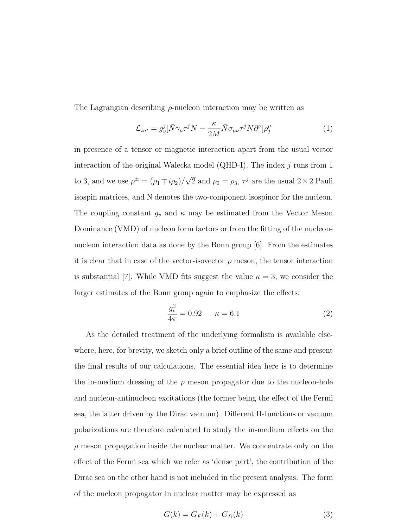The Lagrangian describing  $\rho$ -nucleon interaction may be written as

$$
\mathcal{L}_{int} = g_v^j [\bar{N}\gamma_\mu \tau^j N - \frac{\kappa}{2M} \bar{N}\sigma_{\mu\nu} \tau^j N \partial^\nu] \rho_j^\mu \tag{1}
$$

in presence of a tensor or magnetic interaction apart from the usual vector interaction of the original Walecka model (QHD-I). The index  $j$  runs from 1 to 3, and we use  $\rho^{\pm} = (\rho_1 \mp i \rho_2)/\sqrt{2}$  and  $\rho_0 = \rho_3$ ,  $\tau^j$  are the usual  $2 \times 2$  Pauli isospin matrices, and N denotes the two-component isospinor for the nucleon. The coupling constant  $g_v$  and  $\kappa$  may be estimated from the Vector Meson Dominance (VMD) of nucleon form factors or from the fitting of the nucleonnucleon interaction data as done by the Bonn group  $[6]$ . From the estimates it is clear that in case of the vector-isovector  $\rho$  meson, the tensor interaction is substantial [7]. While VMD fits suggest the value  $\kappa = 3$ , we consider the larger estimates of the Bonn group again to emphasize the effects:

$$
\frac{g_v^2}{4\pi} = 0.92 \qquad \kappa = 6.1 \tag{2}
$$

As the detailed treatment of the underlying formalism is available elsewhere, here, for brevity, we sketch only a brief outline of the same and present the final results of our calculations. The essential idea here is to determine the in-medium dressing of the  $\rho$  meson propagator due to the nucleon-hole and nucleon-antinucleon excitations (the former being the effect of the Fermi sea, the latter driven by the Dirac vacuum). Different Π-functions or vacuum polarizations are therefore calculated to study the in-medium effects on the  $\rho$  meson propagation inside the nuclear matter. We concentrate only on the effect of the Fermi sea which we refer as 'dense part', the contribution of the Dirac sea on the other hand is not included in the present analysis. The form of the nucleon propagator in nuclear matter may be expressed as

$$
G(k) = G_F(k) + G_D(k)
$$
\n<sup>(3)</sup>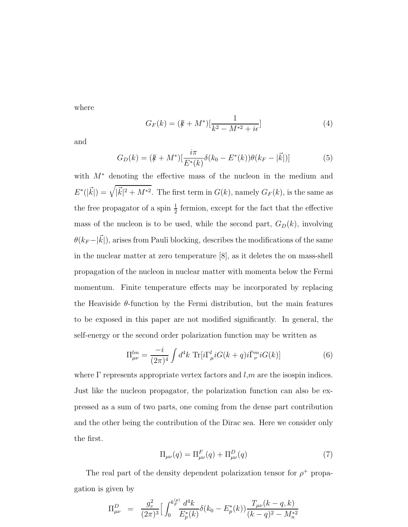where

$$
G_F(k) = (k + M^*)\left[\frac{1}{k^2 - M^{*2} + i\epsilon}\right]
$$
\n(4)

and

$$
G_D(k) = (\not k + M^*) \left[ \frac{i\pi}{E^*(k)} \delta(k_0 - E^*(k)) \theta(k_F - |\vec{k}|) \right] \tag{5}
$$

with M<sup>∗</sup> denoting the effective mass of the nucleon in the medium and  $E^*(|\vec{k}|) = \sqrt{|\vec{k}|^2 + M^{*2}}$ . The first term in  $G(k)$ , namely  $G_F(k)$ , is the same as the free propagator of a spin  $\frac{1}{2}$  fermion, except for the fact that the effective mass of the nucleon is to be used, while the second part,  $G_D(k)$ , involving  $\theta(k_F-|\vec{k}|)$ , arises from Pauli blocking, describes the modifications of the same in the nuclear matter at zero temperature [8], as it deletes the on mass-shell propagation of the nucleon in nuclear matter with momenta below the Fermi momentum. Finite temperature effects may be incorporated by replacing the Heaviside  $\theta$ -function by the Fermi distribution, but the main features to be exposed in this paper are not modified significantly. In general, the self-energy or the second order polarization function may be written as

$$
\Pi_{\mu\nu}^{lm} = \frac{-i}{(2\pi)^4} \int d^4k \ \text{Tr}[i\Gamma_\mu^l i G(k+q)i\bar{\Gamma}_\nu^m i G(k)] \tag{6}
$$

where  $\Gamma$  represents appropriate vertex factors and  $l,m$  are the isospin indices. Just like the nucleon propagator, the polarization function can also be expressed as a sum of two parts, one coming from the dense part contribution and the other being the contribution of the Dirac sea. Here we consider only the first.

$$
\Pi_{\mu\nu}(q) = \Pi_{\mu\nu}^F(q) + \Pi_{\mu\nu}^D(q)
$$
\n(7)

The real part of the density dependent polarization tensor for  $\rho^+$  propagation is given by

$$
\Pi_{\mu\nu}^{D} = \frac{g_v^2}{(2\pi)^3} \Big[ \int_0^{k_F^{(p)}} \frac{d^4k}{E_p^*(k)} \delta(k_0 - E_p^*(k)) \frac{T_{\mu\nu}(k-q, k)}{(k-q)^2 - M_n^{*2}}
$$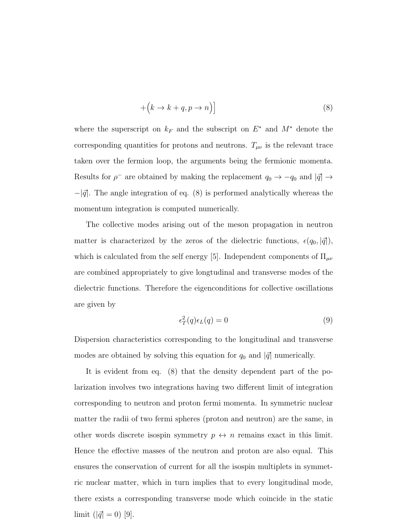$$
+\left(k \to k+q, p \to n\right)\right]
$$
\n<sup>(8)</sup>

where the superscript on  $k_F$  and the subscript on  $E^*$  and  $M^*$  denote the corresponding quantities for protons and neutrons.  $T_{\mu\nu}$  is the relevant trace taken over the fermion loop, the arguments being the fermionic momenta. Results for  $\rho^-$  are obtained by making the replacement  $q_0 \to -q_0$  and  $|\vec{q}| \to$  $-|\vec{q}|$ . The angle integration of eq. (8) is performed analytically whereas the momentum integration is computed numerically.

The collective modes arising out of the meson propagation in neutron matter is characterized by the zeros of the dielectric functions,  $\epsilon(q_0, |\vec{q}|)$ , which is calculated from the self energy [5]. Independent components of  $\Pi_{\mu\nu}$ are combined appropriately to give longtudinal and transverse modes of the dielectric functions. Therefore the eigenconditions for collective oscillations are given by

$$
\epsilon_T^2(q)\epsilon_L(q) = 0\tag{9}
$$

Dispersion characteristics corresponding to the longitudinal and transverse modes are obtained by solving this equation for  $q_0$  and  $|\vec{q}|$  numerically.

It is evident from eq. (8) that the density dependent part of the polarization involves two integrations having two different limit of integration corresponding to neutron and proton fermi momenta. In symmetric nuclear matter the radii of two fermi spheres (proton and neutron) are the same, in other words discrete isospin symmetry  $p \leftrightarrow n$  remains exact in this limit. Hence the effective masses of the neutron and proton are also equal. This ensures the conservation of current for all the isospin multiplets in symmetric nuclear matter, which in turn implies that to every longitudinal mode, there exists a corresponding transverse mode which coincide in the static limit  $(|\vec{q}| = 0)$  [9].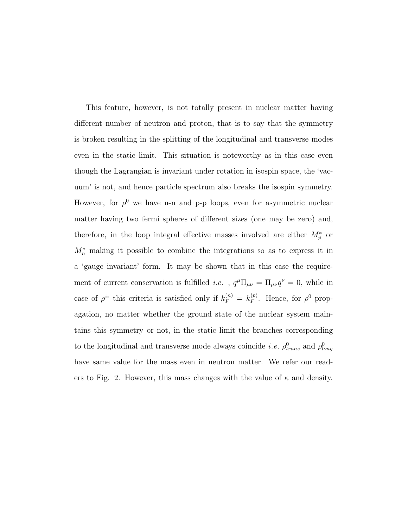This feature, however, is not totally present in nuclear matter having different number of neutron and proton, that is to say that the symmetry is broken resulting in the splitting of the longitudinal and transverse modes even in the static limit. This situation is noteworthy as in this case even though the Lagrangian is invariant under rotation in isospin space, the 'vacuum' is not, and hence particle spectrum also breaks the isospin symmetry. However, for  $\rho^0$  we have n-n and p-p loops, even for asymmetric nuclear matter having two fermi spheres of different sizes (one may be zero) and, therefore, in the loop integral effective masses involved are either  $M_p^*$  or  $M_n^*$  making it possible to combine the integrations so as to express it in a 'gauge invariant' form. It may be shown that in this case the requirement of current conservation is fulfilled *i.e.*,  $q^{\mu} \Pi_{\mu\nu} = \Pi_{\mu\nu} q^{\nu} = 0$ , while in case of  $\rho^{\pm}$  this criteria is satisfied only if  $k_F^{(n)} = k_F^{(p)}$  $_{F}^{(p)}$ . Hence, for  $\rho^0$  propagation, no matter whether the ground state of the nuclear system maintains this symmetry or not, in the static limit the branches corresponding to the longitudinal and transverse mode always coincide *i.e.*  $\rho_{trans}^0$  and  $\rho_{long}^0$ have same value for the mass even in neutron matter. We refer our readers to Fig. 2. However, this mass changes with the value of  $\kappa$  and density.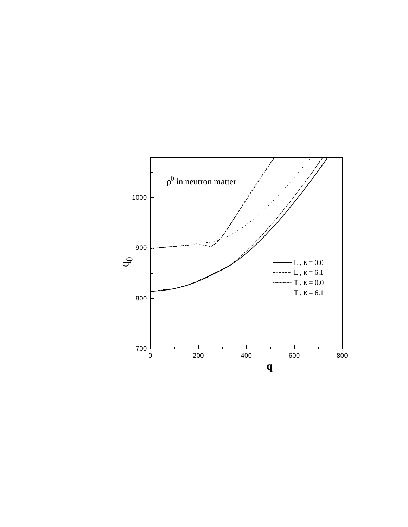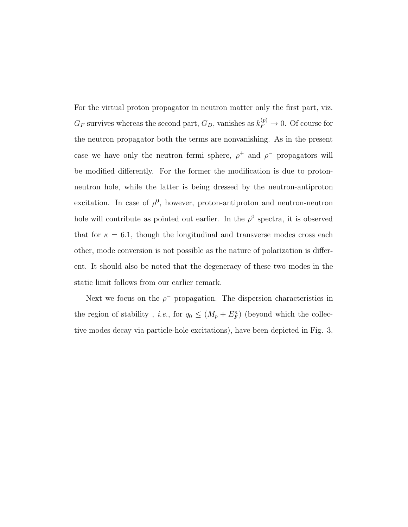For the virtual proton propagator in neutron matter only the first part, viz.  $G_F$  survives whereas the second part,  $G_D$ , vanishes as  $k_F^{(p)} \to 0$ . Of course for the neutron propagator both the terms are nonvanishing. As in the present case we have only the neutron fermi sphere,  $\rho^+$  and  $\rho^-$  propagators will be modified differently. For the former the modification is due to protonneutron hole, while the latter is being dressed by the neutron-antiproton excitation. In case of  $\rho^0$ , however, proton-antiproton and neutron-neutron hole will contribute as pointed out earlier. In the  $\rho^0$  spectra, it is observed that for  $\kappa = 6.1$ , though the longitudinal and transverse modes cross each other, mode conversion is not possible as the nature of polarization is different. It should also be noted that the degeneracy of these two modes in the static limit follows from our earlier remark.

Next we focus on the  $\rho^-$  propagation. The dispersion characteristics in the region of stability, *i.e.*, for  $q_0 \leq (M_p + E_F^n)$  (beyond which the collective modes decay via particle-hole excitations), have been depicted in Fig. 3.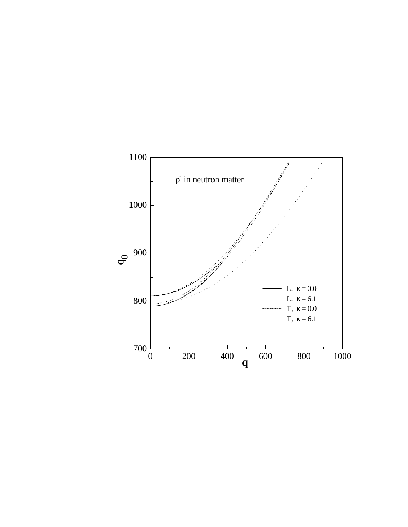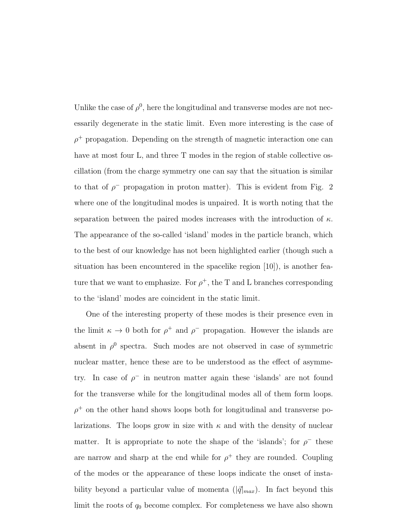Unlike the case of  $\rho^0$ , here the longitudinal and transverse modes are not necessarily degenerate in the static limit. Even more interesting is the case of  $\rho^+$  propagation. Depending on the strength of magnetic interaction one can have at most four L, and three T modes in the region of stable collective oscillation (from the charge symmetry one can say that the situation is similar to that of  $\rho^-$  propagation in proton matter). This is evident from Fig. 2 where one of the longitudinal modes is unpaired. It is worth noting that the separation between the paired modes increases with the introduction of  $\kappa$ . The appearance of the so-called 'island' modes in the particle branch, which to the best of our knowledge has not been highlighted earlier (though such a situation has been encountered in the spacelike region [10]), is another feature that we want to emphasize. For  $\rho^+$ , the T and L branches corresponding to the 'island' modes are coincident in the static limit.

One of the interesting property of these modes is their presence even in the limit  $\kappa \to 0$  both for  $\rho^+$  and  $\rho^-$  propagation. However the islands are absent in  $\rho^0$  spectra. Such modes are not observed in case of symmetric nuclear matter, hence these are to be understood as the effect of asymmetry. In case of  $\rho^-$  in neutron matter again these 'islands' are not found for the transverse while for the longitudinal modes all of them form loops.  $\rho^+$  on the other hand shows loops both for longitudinal and transverse polarizations. The loops grow in size with  $\kappa$  and with the density of nuclear matter. It is appropriate to note the shape of the 'islands'; for  $\rho^-$  these are narrow and sharp at the end while for  $\rho^+$  they are rounded. Coupling of the modes or the appearance of these loops indicate the onset of instability beyond a particular value of momenta  $(|\vec{q}|_{max})$ . In fact beyond this limit the roots of  $q_0$  become complex. For completeness we have also shown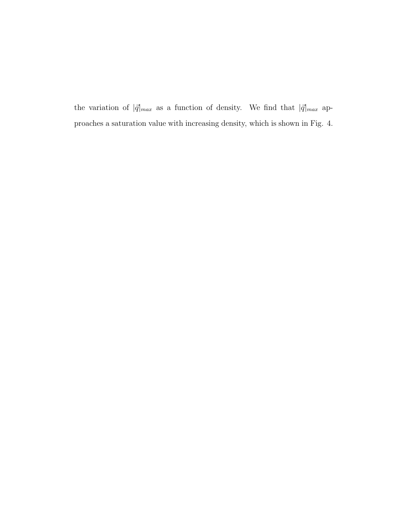the variation of  $|~\vec{q}~|_{max}$  as a function of density. We find that  $|~\vec{q}~|_{max}$  approaches a saturation value with increasing density, which is shown in Fig. 4.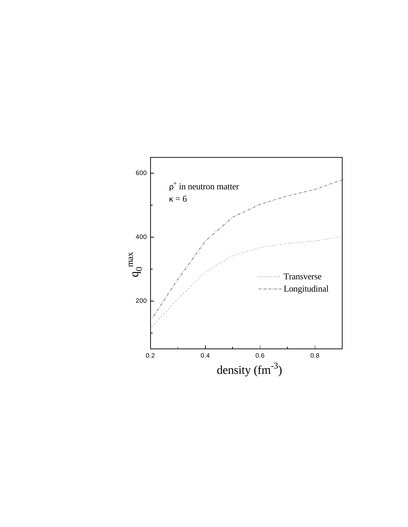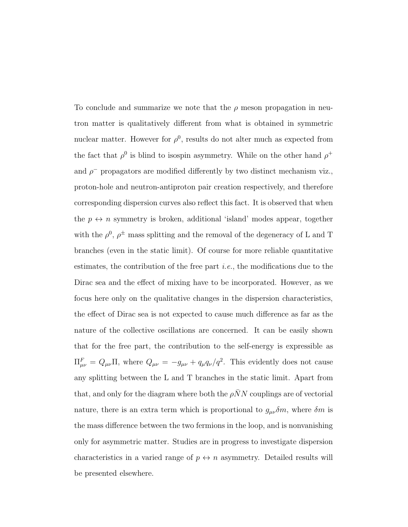To conclude and summarize we note that the  $\rho$  meson propagation in neutron matter is qualitatively different from what is obtained in symmetric nuclear matter. However for  $\rho^0$ , results do not alter much as expected from the fact that  $\rho^0$  is blind to isospin asymmetry. While on the other hand  $\rho^+$ and  $\rho^-$  propagators are modified differently by two distinct mechanism viz., proton-hole and neutron-antiproton pair creation respectively, and therefore corresponding dispersion curves also reflect this fact. It is observed that when the  $p \leftrightarrow n$  symmetry is broken, additional 'island' modes appear, together with the  $\rho^0$ ,  $\rho^{\pm}$  mass splitting and the removal of the degeneracy of L and T branches (even in the static limit). Of course for more reliable quantitative estimates, the contribution of the free part i.e., the modifications due to the Dirac sea and the effect of mixing have to be incorporated. However, as we focus here only on the qualitative changes in the dispersion characteristics, the effect of Dirac sea is not expected to cause much difference as far as the nature of the collective oscillations are concerned. It can be easily shown that for the free part, the contribution to the self-energy is expressible as  $\Pi_{\mu\nu}^F = Q_{\mu\nu} \Pi$ , where  $Q_{\mu\nu} = -g_{\mu\nu} + q_{\mu}q_{\nu}/q^2$ . This evidently does not cause any splitting between the L and T branches in the static limit. Apart from that, and only for the diagram where both the  $\rho NN$  couplings are of vectorial nature, there is an extra term which is proportional to  $g_{\mu\nu}\delta m$ , where  $\delta m$  is the mass difference between the two fermions in the loop, and is nonvanishing only for asymmetric matter. Studies are in progress to investigate dispersion characteristics in a varied range of  $p \leftrightarrow n$  asymmetry. Detailed results will be presented elsewhere.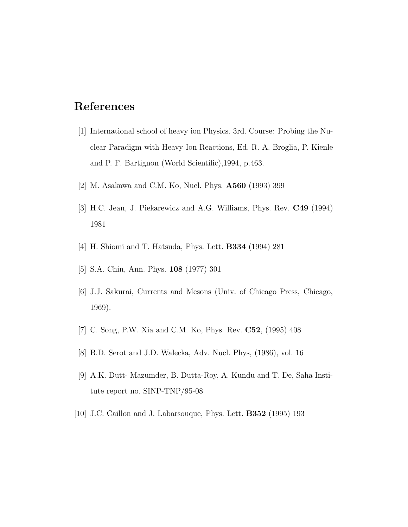## References

- [1] International school of heavy ion Physics. 3rd. Course: Probing the Nuclear Paradigm with Heavy Ion Reactions, Ed. R. A. Broglia, P. Kienle and P. F. Bartignon (World Scientific),1994, p.463.
- [2] M. Asakawa and C.M. Ko, Nucl. Phys. A560 (1993) 399
- [3] H.C. Jean, J. Piekarewicz and A.G. Williams, Phys. Rev. C49 (1994) 1981
- [4] H. Shiomi and T. Hatsuda, Phys. Lett. B334 (1994) 281
- [5] S.A. Chin, Ann. Phys. 108 (1977) 301
- [6] J.J. Sakurai, Currents and Mesons (Univ. of Chicago Press, Chicago, 1969).
- [7] C. Song, P.W. Xia and C.M. Ko, Phys. Rev. C52, (1995) 408
- [8] B.D. Serot and J.D. Walecka, Adv. Nucl. Phys, (1986), vol. 16
- [9] A.K. Dutt- Mazumder, B. Dutta-Roy, A. Kundu and T. De, Saha Institute report no. SINP-TNP/95-08
- [10] J.C. Caillon and J. Labarsouque, Phys. Lett. B352 (1995) 193